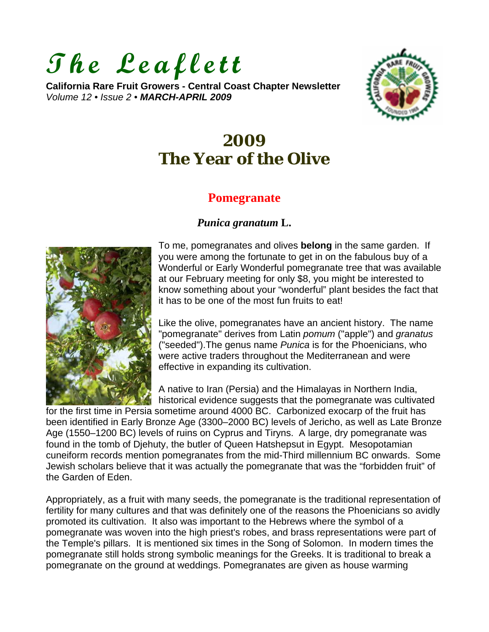# **The Leaflett**

**California Rare Fruit Growers - Central Coast Chapter Newsletter**  *Volume 12 • Issue 2 • MARCH-APRIL 2009*



# **2009 The Year of the Olive**

## **Pomegranate**

#### *Punica granatum* **L.**



To me, pomegranates and olives **belong** in the same garden. If you were among the fortunate to get in on the fabulous buy of a Wonderful or Early Wonderful pomegranate tree that was available at our February meeting for only \$8, you might be interested to know something about your "wonderful" plant besides the fact that it has to be one of the most fun fruits to eat!

Like the olive, pomegranates have an ancient history. The name "pomegranate" derives from Latin *pomum* ("apple") and *granatus* ("seeded").The genus name *Punica* is for the Phoenicians, who were active traders throughout the Mediterranean and were effective in expanding its cultivation.

A native to Iran (Persia) and the Himalayas in Northern India, historical evidence suggests that the pomegranate was cultivated

for the first time in Persia sometime around 4000 BC. Carbonized exocarp of the fruit has been identified in Early Bronze Age (3300–2000 BC) levels of Jericho, as well as Late Bronze Age (1550–1200 BC) levels of ruins on Cyprus and Tiryns. A large, dry pomegranate was found in the tomb of Djehuty, the butler of Queen Hatshepsut in Egypt. Mesopotamian cuneiform records mention pomegranates from the mid-Third millennium BC onwards. Some Jewish scholars believe that it was actually the pomegranate that was the "forbidden fruit" of the Garden of Eden.

Appropriately, as a fruit with many seeds, the pomegranate is the traditional representation of fertility for many cultures and that was definitely one of the reasons the Phoenicians so avidly promoted its cultivation. It also was important to the Hebrews where the symbol of a pomegranate was woven into the high priest's robes, and brass representations were part of the Temple's pillars. It is mentioned six times in the Song of Solomon. In modern times the pomegranate still holds strong symbolic meanings for the Greeks. It is traditional to break a pomegranate on the ground at weddings. Pomegranates are given as house warming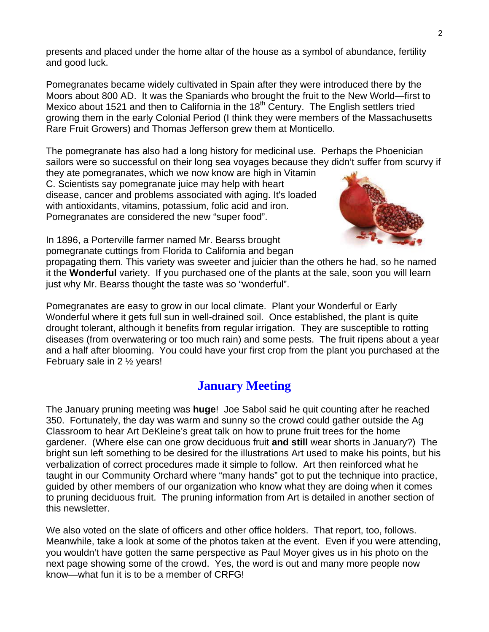presents and placed under the home altar of the house as a symbol of abundance, fertility and good luck.

Pomegranates became widely cultivated in Spain after they were introduced there by the Moors about 800 AD. It was the Spaniards who brought the fruit to the New World—first to Mexico about 1521 and then to California in the  $18<sup>th</sup>$  Century. The English settlers tried growing them in the early Colonial Period (I think they were members of the Massachusetts Rare Fruit Growers) and Thomas Jefferson grew them at Monticello.

The pomegranate has also had a long history for medicinal use. Perhaps the Phoenician sailors were so successful on their long sea voyages because they didn't suffer from scurvy if

they ate pomegranates, which we now know are high in Vitamin C. Scientists say pomegranate juice may help with heart disease, cancer and problems associated with aging. It's loaded with antioxidants, vitamins, potassium, folic acid and iron. Pomegranates are considered the new "super food".



In 1896, a Porterville farmer named Mr. Bearss brought pomegranate cuttings from Florida to California and began

propagating them. This variety was sweeter and juicier than the others he had, so he named it the **Wonderful** variety. If you purchased one of the plants at the sale, soon you will learn just why Mr. Bearss thought the taste was so "wonderful".

Pomegranates are easy to grow in our local climate. Plant your Wonderful or Early Wonderful where it gets full sun in well-drained soil. Once established, the plant is quite drought tolerant, although it benefits from regular irrigation. They are susceptible to rotting diseases (from overwatering or too much rain) and some pests. The fruit ripens about a year and a half after blooming. You could have your first crop from the plant you purchased at the February sale in 2 ½ years!

## **January Meeting**

The January pruning meeting was **huge**! Joe Sabol said he quit counting after he reached 350. Fortunately, the day was warm and sunny so the crowd could gather outside the Ag Classroom to hear Art DeKleine's great talk on how to prune fruit trees for the home gardener. (Where else can one grow deciduous fruit **and still** wear shorts in January?) The bright sun left something to be desired for the illustrations Art used to make his points, but his verbalization of correct procedures made it simple to follow. Art then reinforced what he taught in our Community Orchard where "many hands" got to put the technique into practice, guided by other members of our organization who know what they are doing when it comes to pruning deciduous fruit. The pruning information from Art is detailed in another section of this newsletter.

We also voted on the slate of officers and other office holders. That report, too, follows. Meanwhile, take a look at some of the photos taken at the event. Even if you were attending, you wouldn't have gotten the same perspective as Paul Moyer gives us in his photo on the next page showing some of the crowd. Yes, the word is out and many more people now know—what fun it is to be a member of CRFG!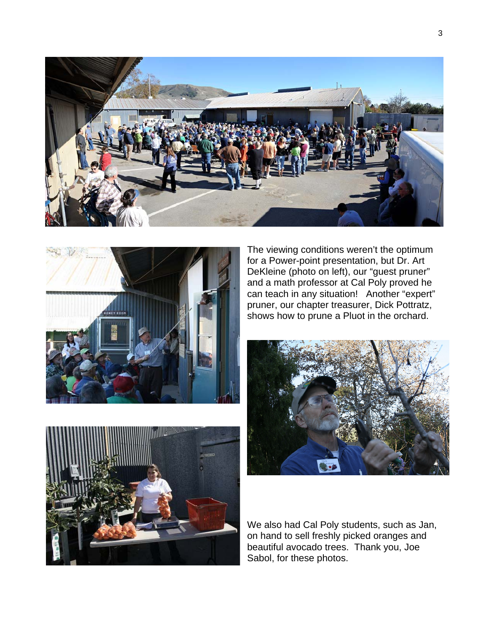



The viewing conditions weren't the optimum for a Power-point presentation, but Dr. Art DeKleine (photo on left), our "guest pruner" and a math professor at Cal Poly proved he can teach in any situation! Another "expert" pruner, our chapter treasurer, Dick Pottratz, shows how to prune a Pluot in the orchard.





We also had Cal Poly students, such as Jan, on hand to sell freshly picked oranges and beautiful avocado trees. Thank you, Joe Sabol, for these photos.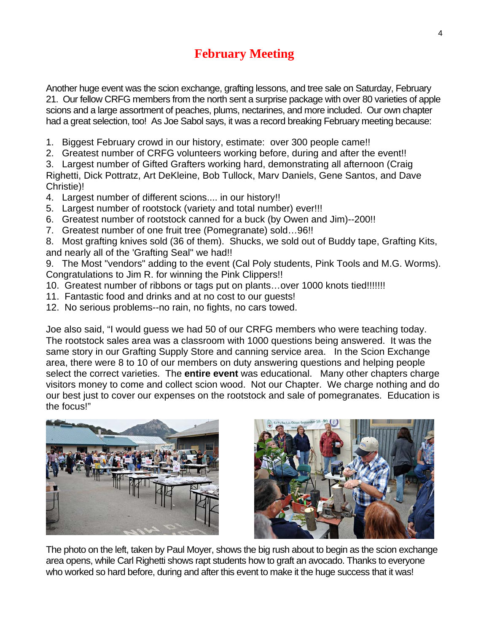## **February Meeting**

Another huge event was the scion exchange, grafting lessons, and tree sale on Saturday, February 21. Our fellow CRFG members from the north sent a surprise package with over 80 varieties of apple scions and a large assortment of peaches, plums, nectarines, and more included. Our own chapter had a great selection, too! As Joe Sabol says, it was a record breaking February meeting because:

- 1. Biggest February crowd in our history, estimate: over 300 people came!!
- 2. Greatest number of CRFG volunteers working before, during and after the event!!

3. Largest number of Gifted Grafters working hard, demonstrating all afternoon (Craig Righetti, Dick Pottratz, Art DeKleine, Bob Tullock, Marv Daniels, Gene Santos, and Dave Christie)!

- 4. Largest number of different scions.... in our history!!
- 5. Largest number of rootstock (variety and total number) ever!!!
- 6. Greatest number of rootstock canned for a buck (by Owen and Jim)--200!!
- 7. Greatest number of one fruit tree (Pomegranate) sold…96!!

8. Most grafting knives sold (36 of them). Shucks, we sold out of Buddy tape, Grafting Kits, and nearly all of the 'Grafting Seal" we had!!

9. The Most "vendors" adding to the event (Cal Poly students, Pink Tools and M.G. Worms). Congratulations to Jim R. for winning the Pink Clippers!!

- 10. Greatest number of ribbons or tags put on plants…over 1000 knots tied!!!!!!!
- 11. Fantastic food and drinks and at no cost to our guests!

12. No serious problems--no rain, no fights, no cars towed.

Joe also said, "I would guess we had 50 of our CRFG members who were teaching today. The rootstock sales area was a classroom with 1000 questions being answered. It was the same story in our Grafting Supply Store and canning service area. In the Scion Exchange area, there were 8 to 10 of our members on duty answering questions and helping people select the correct varieties. The **entire event** was educational. Many other chapters charge visitors money to come and collect scion wood. Not our Chapter. We charge nothing and do our best just to cover our expenses on the rootstock and sale of pomegranates. Education is the focus!"





The photo on the left, taken by Paul Moyer, shows the big rush about to begin as the scion exchange area opens, while Carl Righetti shows rapt students how to graft an avocado. Thanks to everyone who worked so hard before, during and after this event to make it the huge success that it was!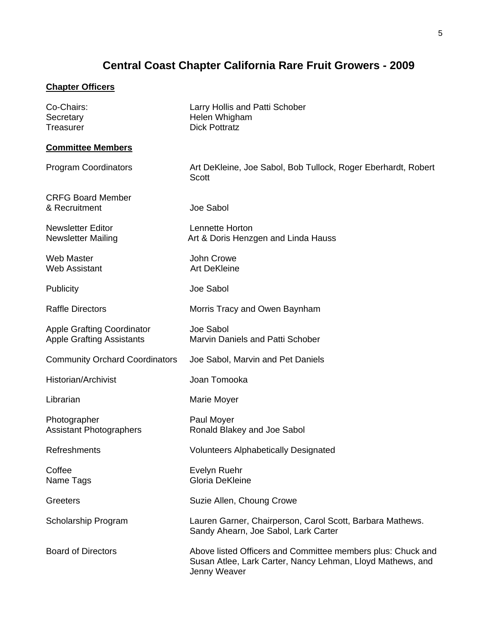# **Central Coast Chapter California Rare Fruit Growers - 2009**

#### **Chapter Officers**

| Co-Chairs:<br>Secretary<br><b>Treasurer</b>                           | Larry Hollis and Patti Schober<br>Helen Whigham<br><b>Dick Pottratz</b>                                                                   |
|-----------------------------------------------------------------------|-------------------------------------------------------------------------------------------------------------------------------------------|
| <b>Committee Members</b>                                              |                                                                                                                                           |
| <b>Program Coordinators</b>                                           | Art DeKleine, Joe Sabol, Bob Tullock, Roger Eberhardt, Robert<br>Scott                                                                    |
| <b>CRFG Board Member</b><br>& Recruitment                             | Joe Sabol                                                                                                                                 |
| <b>Newsletter Editor</b><br><b>Newsletter Mailing</b>                 | <b>Lennette Horton</b><br>Art & Doris Henzgen and Linda Hauss                                                                             |
| <b>Web Master</b><br><b>Web Assistant</b>                             | John Crowe<br><b>Art DeKleine</b>                                                                                                         |
| Publicity                                                             | Joe Sabol                                                                                                                                 |
| <b>Raffle Directors</b>                                               | Morris Tracy and Owen Baynham                                                                                                             |
| <b>Apple Grafting Coordinator</b><br><b>Apple Grafting Assistants</b> | Joe Sabol<br><b>Marvin Daniels and Patti Schober</b>                                                                                      |
| <b>Community Orchard Coordinators</b>                                 | Joe Sabol, Marvin and Pet Daniels                                                                                                         |
| Historian/Archivist                                                   | Joan Tomooka                                                                                                                              |
| Librarian                                                             | Marie Moyer                                                                                                                               |
| Photographer<br><b>Assistant Photographers</b>                        | Paul Moyer<br>Ronald Blakey and Joe Sabol                                                                                                 |
| Refreshments                                                          | <b>Volunteers Alphabetically Designated</b>                                                                                               |
| Coffee<br>Name Tags                                                   | Evelyn Ruehr<br>Gloria DeKleine                                                                                                           |
| Greeters                                                              | Suzie Allen, Choung Crowe                                                                                                                 |
| Scholarship Program                                                   | Lauren Garner, Chairperson, Carol Scott, Barbara Mathews.<br>Sandy Ahearn, Joe Sabol, Lark Carter                                         |
| <b>Board of Directors</b>                                             | Above listed Officers and Committee members plus: Chuck and<br>Susan Atlee, Lark Carter, Nancy Lehman, Lloyd Mathews, and<br>Jenny Weaver |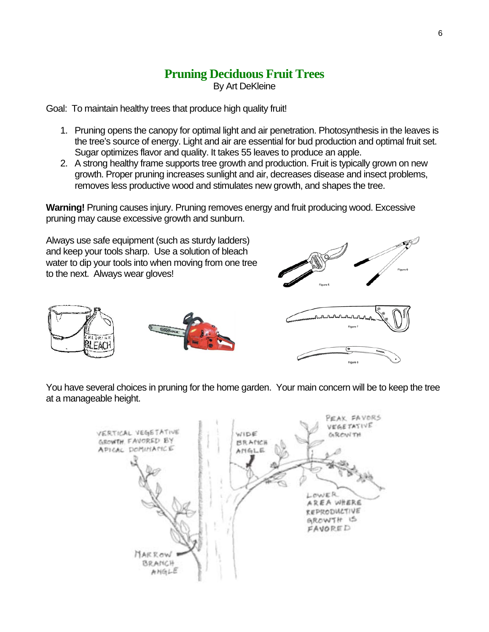# **Pruning Deciduous Fruit Trees**

By Art DeKleine

Goal: To maintain healthy trees that produce high quality fruit!

- 1. Pruning opens the canopy for optimal light and air penetration. Photosynthesis in the leaves is the tree's source of energy. Light and air are essential for bud production and optimal fruit set. Sugar optimizes flavor and quality. It takes 55 leaves to produce an apple.
- 2. A strong healthy frame supports tree growth and production. Fruit is typically grown on new growth. Proper pruning increases sunlight and air, decreases disease and insect problems, removes less productive wood and stimulates new growth, and shapes the tree.

**Warning!** Pruning causes injury. Pruning removes energy and fruit producing wood. Excessive pruning may cause excessive growth and sunburn.

Always use safe equipment (such as sturdy ladders) and keep your tools sharp. Use a solution of bleach water to dip your tools into when moving from one tree to the next. Always wear gloves!





You have several choices in pruning for the home garden. Your main concern will be to keep the tree at a manageable height.

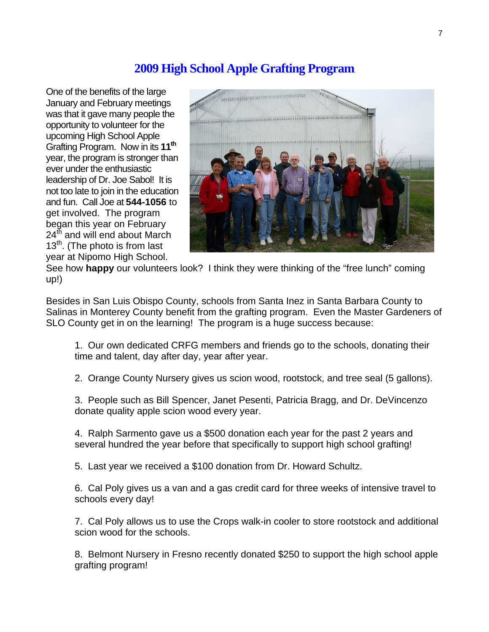#### **2009 High School Apple Grafting Program**

One of the benefits of the large January and February meetings was that it gave many people the opportunity to volunteer for the upcoming High School Apple Grafting Program. Now in its **11th** year, the program is stronger than ever under the enthusiastic leadership of Dr. Joe Sabol! It is not too late to join in the education and fun. Call Joe at **544-1056** to get involved. The program began this year on February 24<sup>th</sup> and will end about March  $13<sup>th</sup>$ . (The photo is from last year at Nipomo High School.



See how **happy** our volunteers look? I think they were thinking of the "free lunch" coming up!)

Besides in San Luis Obispo County, schools from Santa Inez in Santa Barbara County to Salinas in Monterey County benefit from the grafting program. Even the Master Gardeners of SLO County get in on the learning! The program is a huge success because:

1. Our own dedicated CRFG members and friends go to the schools, donating their time and talent, day after day, year after year.

2. Orange County Nursery gives us scion wood, rootstock, and tree seal (5 gallons).

3. People such as Bill Spencer, Janet Pesenti, Patricia Bragg, and Dr. DeVincenzo donate quality apple scion wood every year.

4. Ralph Sarmento gave us a \$500 donation each year for the past 2 years and several hundred the year before that specifically to support high school grafting!

5. Last year we received a \$100 donation from Dr. Howard Schultz.

6. Cal Poly gives us a van and a gas credit card for three weeks of intensive travel to schools every day!

7. Cal Poly allows us to use the Crops walk-in cooler to store rootstock and additional scion wood for the schools.

8. Belmont Nursery in Fresno recently donated \$250 to support the high school apple grafting program!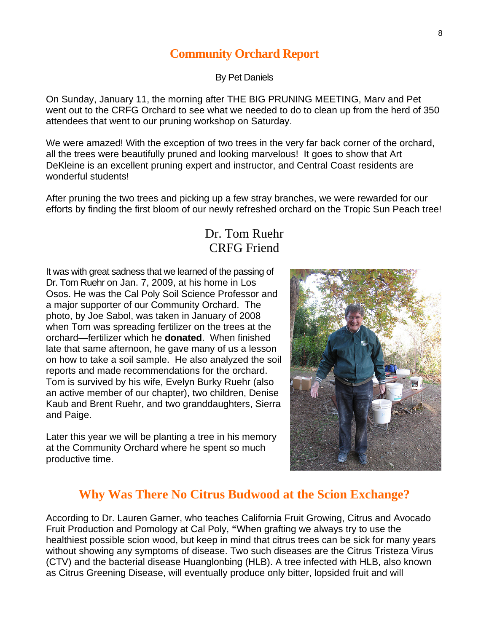#### **Community Orchard Report**

By Pet Daniels

On Sunday, January 11, the morning after THE BIG PRUNING MEETING, Marv and Pet went out to the CRFG Orchard to see what we needed to do to clean up from the herd of 350 attendees that went to our pruning workshop on Saturday.

We were amazed! With the exception of two trees in the very far back corner of the orchard, all the trees were beautifully pruned and looking marvelous! It goes to show that Art DeKleine is an excellent pruning expert and instructor, and Central Coast residents are wonderful students!

After pruning the two trees and picking up a few stray branches, we were rewarded for our efforts by finding the first bloom of our newly refreshed orchard on the Tropic Sun Peach tree!

#### Dr. Tom Ruehr CRFG Friend

It was with great sadness that we learned of the passing of Dr. Tom Ruehr on Jan. 7, 2009, at his home in Los Osos. He was the Cal Poly Soil Science Professor and a major supporter of our Community Orchard. The photo, by Joe Sabol, was taken in January of 2008 when Tom was spreading fertilizer on the trees at the orchard—fertilizer which he **donated**. When finished late that same afternoon, he gave many of us a lesson on how to take a soil sample. He also analyzed the soil reports and made recommendations for the orchard. Tom is survived by his wife, Evelyn Burky Ruehr (also an active member of our chapter), two children, Denise Kaub and Brent Ruehr, and two granddaughters, Sierra and Paige.

Later this year we will be planting a tree in his memory at the Community Orchard where he spent so much productive time.



#### **Why Was There No Citrus Budwood at the Scion Exchange?**

According to Dr. Lauren Garner, who teaches California Fruit Growing, Citrus and Avocado Fruit Production and Pomology at Cal Poly, **"**When grafting we always try to use the healthiest possible scion wood, but keep in mind that citrus trees can be sick for many years without showing any symptoms of disease. Two such diseases are the Citrus Tristeza Virus (CTV) and the bacterial disease Huanglonbing (HLB). A tree infected with HLB, also known as Citrus Greening Disease, will eventually produce only bitter, lopsided fruit and will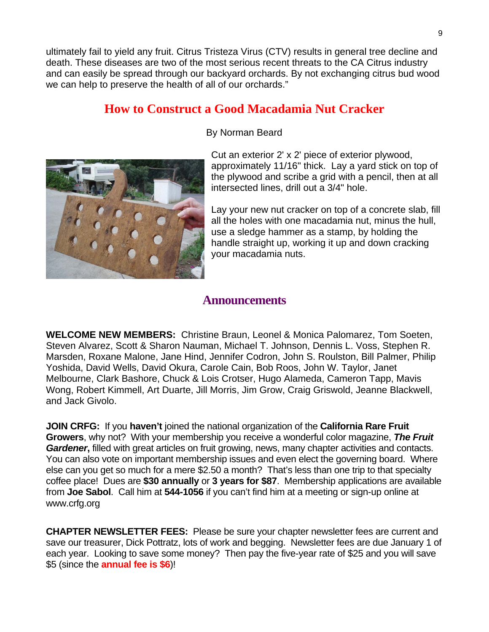ultimately fail to yield any fruit. Citrus Tristeza Virus (CTV) results in general tree decline and death. These diseases are two of the most serious recent threats to the CA Citrus industry and can easily be spread through our backyard orchards. By not exchanging citrus bud wood we can help to preserve the health of all of our orchards."

#### **How to Construct a Good Macadamia Nut Cracker**



#### By Norman Beard

Cut an exterior 2' x 2' piece of exterior plywood, approximately 11/16" thick. Lay a yard stick on top of the plywood and scribe a grid with a pencil, then at all intersected lines, drill out a 3/4" hole.

Lay your new nut cracker on top of a concrete slab, fill all the holes with one macadamia nut, minus the hull, use a sledge hammer as a stamp, by holding the handle straight up, working it up and down cracking your macadamia nuts.

#### **Announcements**

**WELCOME NEW MEMBERS:** Christine Braun, Leonel & Monica Palomarez, Tom Soeten, Steven Alvarez, Scott & Sharon Nauman, Michael T. Johnson, Dennis L. Voss, Stephen R. Marsden, Roxane Malone, Jane Hind, Jennifer Codron, John S. Roulston, Bill Palmer, Philip Yoshida, David Wells, David Okura, Carole Cain, Bob Roos, John W. Taylor, Janet Melbourne, Clark Bashore, Chuck & Lois Crotser, Hugo Alameda, Cameron Tapp, Mavis Wong, Robert Kimmell, Art Duarte, Jill Morris, Jim Grow, Craig Griswold, Jeanne Blackwell, and Jack Givolo.

**JOIN CRFG:** If you **haven't** joined the national organization of the **California Rare Fruit Growers**, why not? With your membership you receive a wonderful color magazine, *The Fruit Gardener***,** filled with great articles on fruit growing, news, many chapter activities and contacts. You can also vote on important membership issues and even elect the governing board. Where else can you get so much for a mere \$2.50 a month? That's less than one trip to that specialty coffee place! Dues are **\$30 annually** or **3 years for \$87**. Membership applications are available from **Joe Sabol**. Call him at **544-1056** if you can't find him at a meeting or sign-up online at www.crfg.org

**CHAPTER NEWSLETTER FEES:** Please be sure your chapter newsletter fees are current and save our treasurer, Dick Pottratz, lots of work and begging. Newsletter fees are due January 1 of each year. Looking to save some money? Then pay the five-year rate of \$25 and you will save \$5 (since the **annual fee is \$6**)!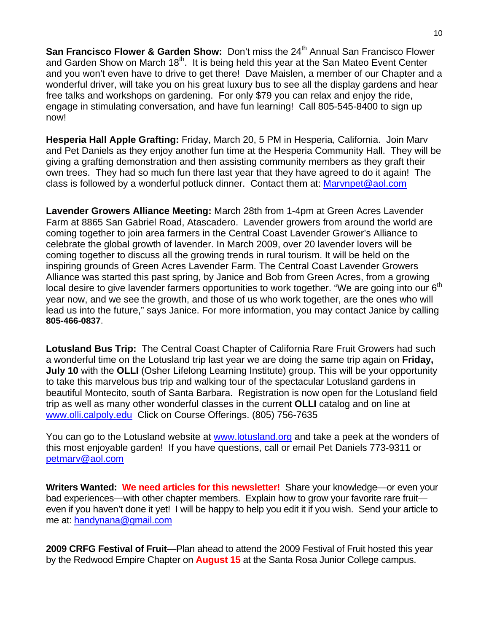**San Francisco Flower & Garden Show:** Don't miss the 24<sup>th</sup> Annual San Francisco Flower and Garden Show on March 18<sup>th</sup>. It is being held this year at the San Mateo Event Center and you won't even have to drive to get there! Dave Maislen, a member of our Chapter and a wonderful driver, will take you on his great luxury bus to see all the display gardens and hear free talks and workshops on gardening. For only \$79 you can relax and enjoy the ride, engage in stimulating conversation, and have fun learning! Call 805-545-8400 to sign up now!

**Hesperia Hall Apple Grafting:** Friday, March 20, 5 PM in Hesperia, California. Join Marv and Pet Daniels as they enjoy another fun time at the Hesperia Community Hall. They will be giving a grafting demonstration and then assisting community members as they graft their own trees. They had so much fun there last year that they have agreed to do it again! The class is followed by a wonderful potluck dinner. Contact them at: [Marvnpet@aol.com](mailto:Marvnpet@aol.com)

**Lavender Growers Alliance Meeting:** March 28th from 1-4pm at Green Acres Lavender Farm at 8865 San Gabriel Road, Atascadero. Lavender growers from around the world are coming together to join area farmers in the Central Coast Lavender Grower's Alliance to celebrate the global growth of lavender. In March 2009, over 20 lavender lovers will be coming together to discuss all the growing trends in rural tourism. It will be held on the inspiring grounds of Green Acres Lavender Farm. The Central Coast Lavender Growers Alliance was started this past spring, by Janice and Bob from Green Acres, from a growing local desire to give lavender farmers opportunities to work together. "We are going into our 6<sup>th</sup> year now, and we see the growth, and those of us who work together, are the ones who will lead us into the future," says Janice. For more information, you may contact Janice by calling **805-466-0837**.

**Lotusland Bus Trip:** The Central Coast Chapter of California Rare Fruit Growers had such a wonderful time on the Lotusland trip last year we are doing the same trip again on **Friday, July 10** with the **OLLI** (Osher Lifelong Learning Institute) group. This will be your opportunity to take this marvelous bus trip and walking tour of the spectacular Lotusland gardens in beautiful Montecito, south of Santa Barbara. Registration is now open for the Lotusland field trip as well as many other wonderful classes in the current **OLLI** catalog and on line at [www.olli.calpoly.edu](http://www.olli.calpoly.edu/) Click on Course Offerings. (805) 756-7635

You can go to the Lotusland website at [www.lotusland.org](http://www.lotusland.org/) and take a peek at the wonders of this most enjoyable garden! If you have questions, call or email Pet Daniels 773-9311 or [petmarv@aol.com](mailto:petmarv@aol.com)

**Writers Wanted: We need articles for this newsletter!** Share your knowledge—or even your bad experiences—with other chapter members. Explain how to grow your favorite rare fruit even if you haven't done it yet! I will be happy to help you edit it if you wish. Send your article to me at: [handynana@gmail.com](mailto:handynana@gmail.com)

**2009 CRFG Festival of Fruit**—Plan ahead to attend the 2009 Festival of Fruit hosted this year by the Redwood Empire Chapter on **August 15** at the Santa Rosa Junior College campus.